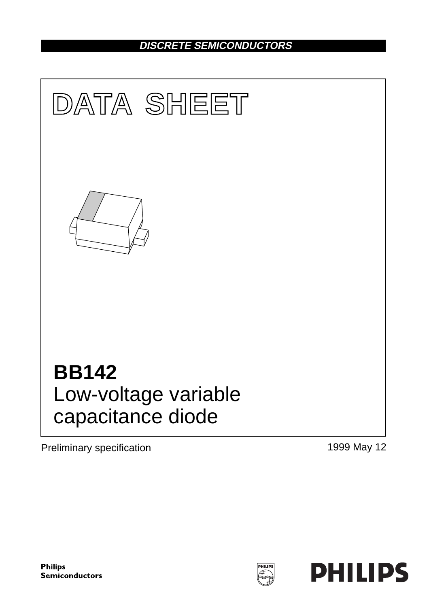## **DISCRETE SEMICONDUCTORS**



Preliminary specification 1999 May 12

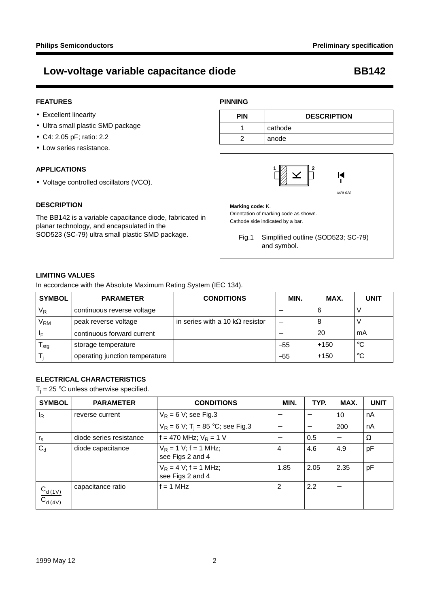#### **FEATURES**

- Excellent linearity
- Ultra small plastic SMD package
- C4: 2.05 pF; ratio: 2.2
- Low series resistance.

#### **APPLICATIONS**

• Voltage controlled oscillators (VCO).

#### **DESCRIPTION**

The BB142 is a variable capacitance diode, fabricated in planar technology, and encapsulated in the SOD523 (SC-79) ultra small plastic SMD package.

### **PINNING**

| <b>PIN</b> | <b>DESCRIPTION</b> |  |
|------------|--------------------|--|
|            | cathode            |  |
| ┍          | anode              |  |



**Marking code:** K. Orientation of marking code as shown. Cathode side indicated by a bar.

Fig.1 Simplified outline (SOD523; SC-79) and symbol.

#### **LIMITING VALUES**

In accordance with the Absolute Maximum Rating System (IEC 134).

| <b>SYMBOL</b>   | <b>PARAMETER</b>               | <b>CONDITIONS</b>                       | MIN.  | MAX.   | <b>UNIT</b> |
|-----------------|--------------------------------|-----------------------------------------|-------|--------|-------------|
| $V_R$           | continuous reverse voltage     |                                         |       |        |             |
| V <sub>RM</sub> | peak reverse voltage           | in series with a 10 k $\Omega$ resistor |       |        |             |
| ΙF              | continuous forward current     |                                         |       | 20     | mA          |
| stg             | storage temperature            |                                         | $-55$ | $+150$ | $^{\circ}C$ |
|                 | operating junction temperature |                                         | $-55$ | $+150$ | $^{\circ}C$ |

### **ELECTRICAL CHARACTERISTICS**

 $T_i = 25$  °C unless otherwise specified.

| <b>SYMBOL</b>                 | <b>PARAMETER</b>        | <b>CONDITIONS</b>                               | MIN.           | TYP. | MAX. | <b>UNIT</b> |
|-------------------------------|-------------------------|-------------------------------------------------|----------------|------|------|-------------|
| <sup>I</sup> R                | reverse current         | $V_R$ = 6 V; see Fig.3                          |                |      | 10   | nA          |
|                               |                         | $V_R = 6 V$ ; T <sub>i</sub> = 85 °C; see Fig.3 |                |      | 200  | nA          |
| $r_{\rm s}$                   | diode series resistance | f = 470 MHz; $V_R$ = 1 V                        |                | 0.5  |      | Ω           |
| $C_{d}$                       | diode capacitance       | $V_R = 1 V$ ; f = 1 MHz;<br>see Figs 2 and 4    | 4              | 4.6  | 4.9  | pF          |
|                               |                         | $V_R = 4 V$ ; f = 1 MHz;<br>see Figs 2 and 4    | 1.85           | 2.05 | 2.35 | pF          |
| $\frac{C_{d(1V)}}{C_{d(4V)}}$ | capacitance ratio       | $f = 1$ MHz                                     | $\overline{2}$ | 2.2  |      |             |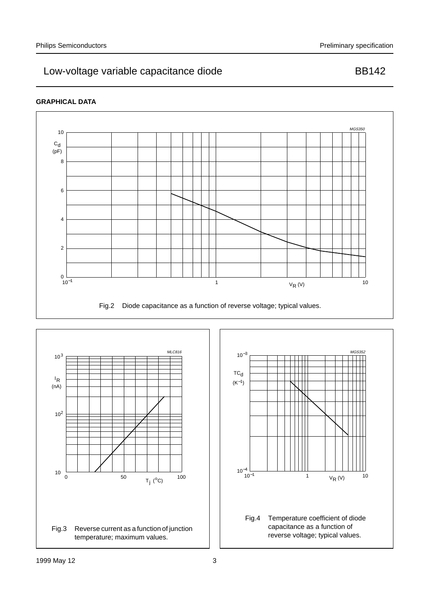### **GRAPHICAL DATA**





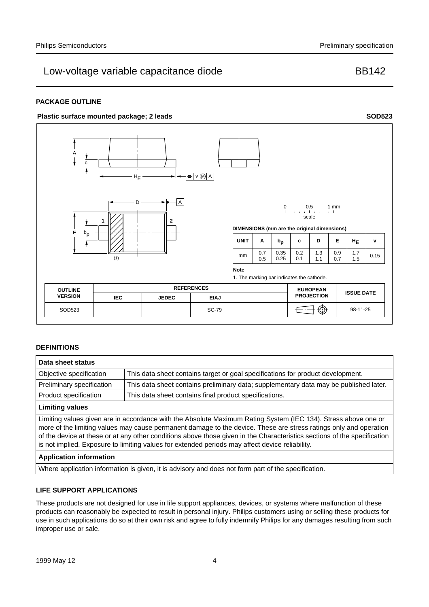#### **PACKAGE OUTLINE**

#### Plastic surface mounted package; 2 leads **SOD523**



#### **DEFINITIONS**

| Data sheet status                                                                                                                                                                                                                                                                                                                                                                                                                                                  |                                                                                       |  |  |  |
|--------------------------------------------------------------------------------------------------------------------------------------------------------------------------------------------------------------------------------------------------------------------------------------------------------------------------------------------------------------------------------------------------------------------------------------------------------------------|---------------------------------------------------------------------------------------|--|--|--|
| Objective specification                                                                                                                                                                                                                                                                                                                                                                                                                                            | This data sheet contains target or goal specifications for product development.       |  |  |  |
| Preliminary specification                                                                                                                                                                                                                                                                                                                                                                                                                                          | This data sheet contains preliminary data; supplementary data may be published later. |  |  |  |
| Product specification                                                                                                                                                                                                                                                                                                                                                                                                                                              | This data sheet contains final product specifications.                                |  |  |  |
| <b>Limiting values</b>                                                                                                                                                                                                                                                                                                                                                                                                                                             |                                                                                       |  |  |  |
| Limiting values given are in accordance with the Absolute Maximum Rating System (IEC 134). Stress above one or<br>more of the limiting values may cause permanent damage to the device. These are stress ratings only and operation<br>of the device at these or at any other conditions above those given in the Characteristics sections of the specification<br>is not implied. Exposure to limiting values for extended periods may affect device reliability. |                                                                                       |  |  |  |
| .                                                                                                                                                                                                                                                                                                                                                                                                                                                                  |                                                                                       |  |  |  |

#### **Application information**

Where application information is given, it is advisory and does not form part of the specification.

#### **LIFE SUPPORT APPLICATIONS**

These products are not designed for use in life support appliances, devices, or systems where malfunction of these products can reasonably be expected to result in personal injury. Philips customers using or selling these products for use in such applications do so at their own risk and agree to fully indemnify Philips for any damages resulting from such improper use or sale.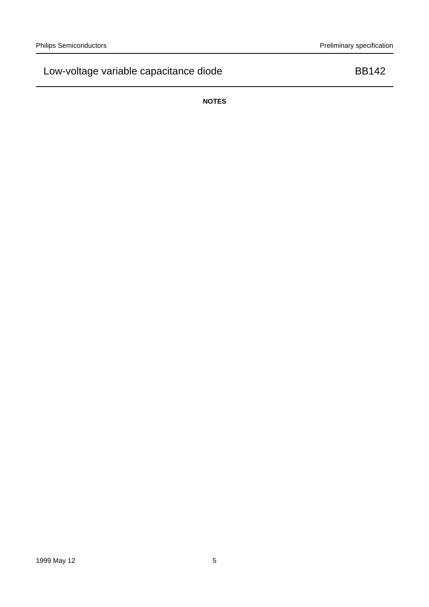**NOTES**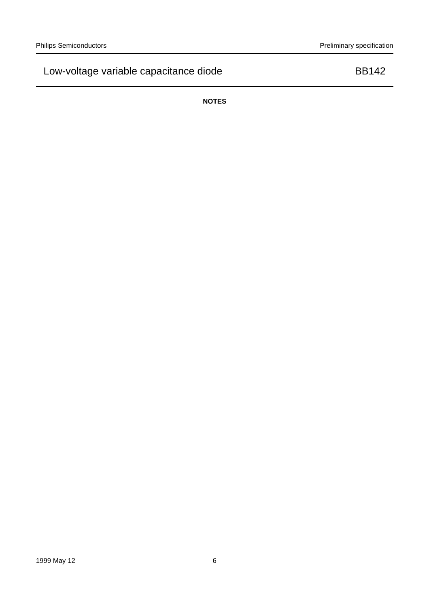**NOTES**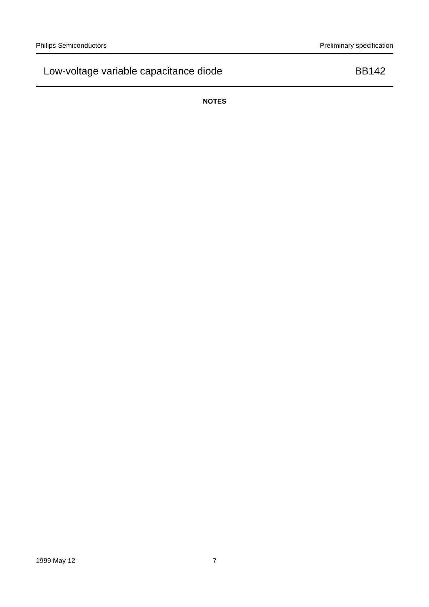**NOTES**